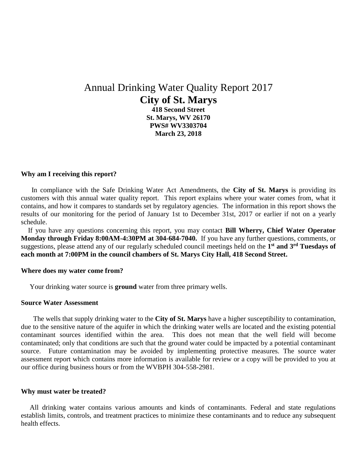# Annual Drinking Water Quality Report 2017 **City of St. Marys**

**418 Second Street St. Marys, WV 26170 PWS# WV3303704 March 23, 2018**

### **Why am I receiving this report?**

 In compliance with the Safe Drinking Water Act Amendments, the **City of St. Marys** is providing its customers with this annual water quality report. This report explains where your water comes from, what it contains, and how it compares to standards set by regulatory agencies. The information in this report shows the results of our monitoring for the period of January 1st to December 31st, 2017 or earlier if not on a yearly schedule.

 If you have any questions concerning this report, you may contact **Bill Wherry, Chief Water Operator Monday through Friday 8:00AM-4:30PM at 304-684-7040.** If you have any further questions, comments, or suggestions, please attend any of our regularly scheduled council meetings held on the **1 st and 3rd Tuesdays of each month at 7:00PM in the council chambers of St. Marys City Hall, 418 Second Street.**

#### **Where does my water come from?**

Your drinking water source is **ground** water from three primary wells.

#### **Source Water Assessment**

 The wells that supply drinking water to the **City of St. Marys** have a higher susceptibility to contamination, due to the sensitive nature of the aquifer in which the drinking water wells are located and the existing potential contaminant sources identified within the area. This does not mean that the well field will become contaminated; only that conditions are such that the ground water could be impacted by a potential contaminant source. Future contamination may be avoided by implementing protective measures. The source water assessment report which contains more information is available for review or a copy will be provided to you at our office during business hours or from the WVBPH 304-558-2981.

#### **Why must water be treated?**

 All drinking water contains various amounts and kinds of contaminants. Federal and state regulations establish limits, controls, and treatment practices to minimize these contaminants and to reduce any subsequent health effects.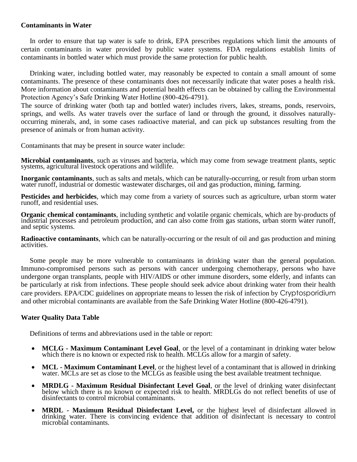## **Contaminants in Water**

 In order to ensure that tap water is safe to drink, EPA prescribes regulations which limit the amounts of certain contaminants in water provided by public water systems. FDA regulations establish limits of contaminants in bottled water which must provide the same protection for public health.

 Drinking water, including bottled water, may reasonably be expected to contain a small amount of some contaminants. The presence of these contaminants does not necessarily indicate that water poses a health risk. More information about contaminants and potential health effects can be obtained by calling the Environmental Protection Agency's Safe Drinking Water Hotline (800-426-4791).

The source of drinking water (both tap and bottled water) includes rivers, lakes, streams, ponds, reservoirs, springs, and wells. As water travels over the surface of land or through the ground, it dissolves naturallyoccurring minerals, and, in some cases radioactive material, and can pick up substances resulting from the presence of animals or from human activity.

Contaminants that may be present in source water include:

**Microbial contaminants**, such as viruses and bacteria, which may come from sewage treatment plants, septic systems, agricultural livestock operations and wildlife.

**Inorganic contaminants**, such as salts and metals, which can be naturally-occurring, or result from urban storm water runoff, industrial or domestic wastewater discharges, oil and gas production, mining, farming.

**Pesticides and herbicides**, which may come from a variety of sources such as agriculture, urban storm water runoff, and residential uses.

**Organic chemical contaminants**, including synthetic and volatile organic chemicals, which are by-products of industrial processes and petroleum production, and can also come from gas stations, urban storm water runoff, and septic systems.

**Radioactive contaminants**, which can be naturally-occurring or the result of oil and gas production and mining activities.

 Some people may be more vulnerable to contaminants in drinking water than the general population. Immuno-compromised persons such as persons with cancer undergoing chemotherapy, persons who have undergone organ transplants, people with HIV/AIDS or other immune disorders, some elderly, and infants can be particularly at risk from infections. These people should seek advice about drinking water from their health care providers. EPA/CDC guidelines on appropriate means to lessen the risk of infection by Cryptosporidium and other microbial contaminants are available from the Safe Drinking Water Hotline (800-426-4791).

## **Water Quality Data Table**

Definitions of terms and abbreviations used in the table or report:

- **MCLG - Maximum Contaminant Level Goal**, or the level of a contaminant in drinking water below which there is no known or expected risk to health. MCLGs allow for a margin of safety.
- **MCL - Maximum Contaminant Level**, or the highest level of a contaminant that is allowed in drinking water. MCLs are set as close to the MCLGs as feasible using the best available treatment technique.
- **MRDLG - Maximum Residual Disinfectant Level Goal**, or the level of drinking water disinfectant below which there is no known or expected risk to health. MRDLGs do not reflect benefits of use of disinfectants to control microbial contaminants.
- **MRDL - Maximum Residual Disinfectant Level,** or the highest level of disinfectant allowed in drinking water. There is convincing evidence that addition of disinfectant is necessary to control microbial contaminants.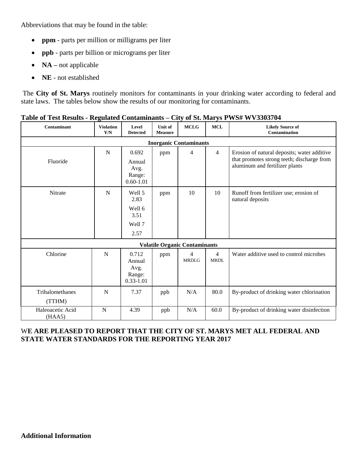Abbreviations that may be found in the table:

- **ppm**  parts per million or milligrams per liter
- **ppb** parts per billion or micrograms per liter
- **NA** not applicable
- NE not established

The **City of St. Marys** routinely monitors for contaminants in your drinking water according to federal and state laws. The tables below show the results of our monitoring for contaminants.

| Contaminant                          | <b>Violation</b><br>Y/N | Level<br><b>Detected</b>                           | Unit of<br><b>Measure</b> | <b>MCLG</b>       | <b>MCL</b>                    | <b>Likely Source of</b><br><b>Contamination</b>                                                                             |
|--------------------------------------|-------------------------|----------------------------------------------------|---------------------------|-------------------|-------------------------------|-----------------------------------------------------------------------------------------------------------------------------|
| <b>Inorganic Contaminants</b>        |                         |                                                    |                           |                   |                               |                                                                                                                             |
| Fluoride                             | $\mathbf N$             | 0.692<br>Annual<br>Avg.<br>Range:<br>$0.60 - 1.01$ | ppm                       | $\overline{4}$    | $\overline{4}$                | Erosion of natural deposits; water additive<br>that promotes strong teeth; discharge from<br>aluminum and fertilizer plants |
| <b>Nitrate</b>                       | N                       | Well 5<br>2.83<br>Well 6<br>3.51<br>Well 7<br>2.57 | ppm                       | 10                | 10                            | Runoff from fertilizer use; erosion of<br>natural deposits                                                                  |
| <b>Volatile Organic Contaminants</b> |                         |                                                    |                           |                   |                               |                                                                                                                             |
| Chlorine                             | N                       | 0.712<br>Annual<br>Avg.<br>Range:<br>$0.33 - 1.01$ | ppm                       | 4<br><b>MRDLG</b> | $\overline{4}$<br><b>MRDL</b> | Water additive used to control microbes                                                                                     |
| Trihalomethanes<br>(TTHM)            | N                       | 7.37                                               | ppb                       | N/A               | 80.0                          | By-product of drinking water chlorination                                                                                   |
| Haleoacetic Acid<br>(HAA5)           | ${\bf N}$               | 4.39                                               | ppb                       | N/A               | 60.0                          | By-product of drinking water disinfection                                                                                   |

## **Table of Test Results - Regulated Contaminants** *–* **City of St. Marys PWS# WV3303704**

## W**E ARE PLEASED TO REPORT THAT THE CITY OF ST. MARYS MET ALL FEDERAL AND STATE WATER STANDARDS FOR THE REPORTING YEAR 2017**